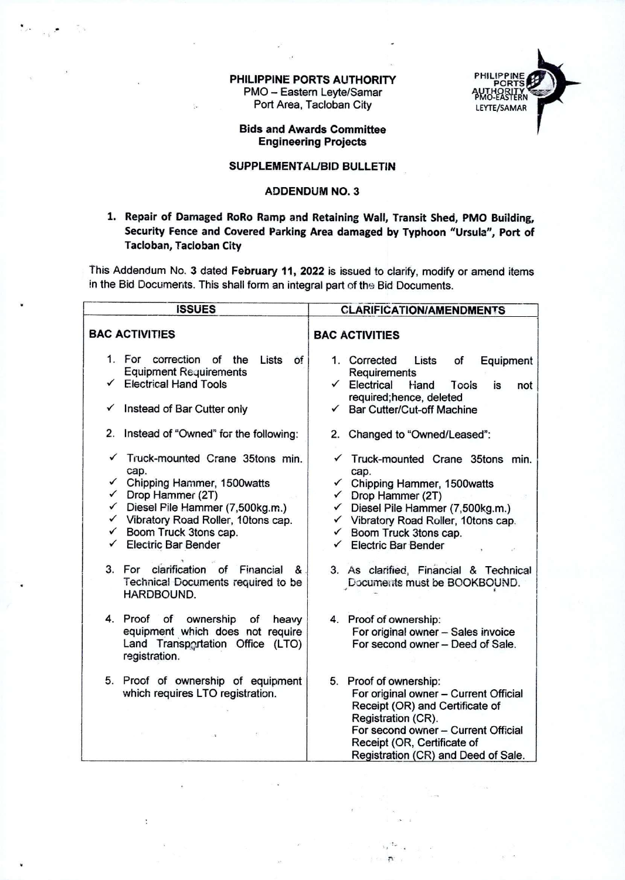## PHILIPPINE PORTS AUTHORITY PMO - Eastern Leyte/Samar Port Area, Tacloban City



Bids and Awards Committee Engineering Projects

## SUPPLEMENTAL/BID BULLETIN

## ADDENDUM NO. 3

1. Repair of Damaged RoRo Ramp and Retaining Wall, Transit Shed, PMO Building, Security Fence and Covered Parking Area damaged by Typhoon "Ursula", Port of Tacloban, Tacloban City

This Addendum No. 3 dated February 11, 2022 is issued to clarify, modify or amend items in the Bid Documents. This shall form an integral part of the Bid Documents.

| <b>ISSUES</b>                                                                                                                                                                                                                                                                                                                                                                    | <b>CLARIFICATION/AMENDMENTS</b>                                                                                                                                                                                                                                                                                                                            |
|----------------------------------------------------------------------------------------------------------------------------------------------------------------------------------------------------------------------------------------------------------------------------------------------------------------------------------------------------------------------------------|------------------------------------------------------------------------------------------------------------------------------------------------------------------------------------------------------------------------------------------------------------------------------------------------------------------------------------------------------------|
| <b>BAC ACTIVITIES</b>                                                                                                                                                                                                                                                                                                                                                            | <b>BAC ACTIVITIES</b>                                                                                                                                                                                                                                                                                                                                      |
| 1. For correction of the<br>Lists<br>0f<br><b>Equipment Requirements</b><br><b>Electrical Hand Tools</b><br>✓<br>Instead of Bar Cutter only<br>✓                                                                                                                                                                                                                                 | Equipment<br>1. Corrected<br>Lists<br>of<br>Requirements<br>Electrical<br>$\checkmark$<br>Hand<br>Tools<br>is<br>not<br>required; hence, deleted<br><b>Bar Cutter/Cut-off Machine</b><br>$\checkmark$                                                                                                                                                      |
| 2.<br>Instead of "Owned" for the following:                                                                                                                                                                                                                                                                                                                                      | 2. Changed to "Owned/Leased":                                                                                                                                                                                                                                                                                                                              |
| Truck-mounted Crane 35tons min.<br>cap.<br>Chipping Hammer, 1500watts<br>$\checkmark$<br>$\checkmark$ Drop Hammer (2T)<br>$\checkmark$ Diesel Pile Hammer (7,500kg.m.)<br>V Vibratory Road Roller, 10tons cap.<br>$\checkmark$ Boom Truck 3tons cap.<br><b>Electric Bar Bender</b><br>3. For clarification of Financial<br>&<br>Technical Documents required to be<br>HARDBOUND. | Truck-mounted Crane 35tons min.<br>cap.<br>Chipping Hammer, 1500watts<br>$\checkmark$<br>Drop Hammer (2T)<br>$\checkmark$<br>Diesel Pile Hammer (7,500kg.m.)<br>✓<br>✓ Vibratory Road Roller, 10tons cap.<br>Boom Truck 3tons cap.<br>$\checkmark$<br><b>Electric Bar Bender</b><br>3. As clarified, Financial & Technical<br>Documents must be BOOKBOUND. |
| 4. Proof<br>of<br>ownership<br>of<br>heavy<br>equipment which does not require<br>Land Transportation Office (LTO)<br>registration.                                                                                                                                                                                                                                              | 4. Proof of ownership:<br>For original owner - Sales invoice<br>For second owner - Deed of Sale.                                                                                                                                                                                                                                                           |
| 5. Proof of ownership of equipment<br>which requires LTO registration.                                                                                                                                                                                                                                                                                                           | 5. Proof of ownership:<br>For original owner - Current Official<br>Receipt (OR) and Certificate of<br>Registration (CR).<br>For second owner - Current Official<br>Receipt (OR, Certificate of<br>Registration (CR) and Deed of Sale.                                                                                                                      |

÷